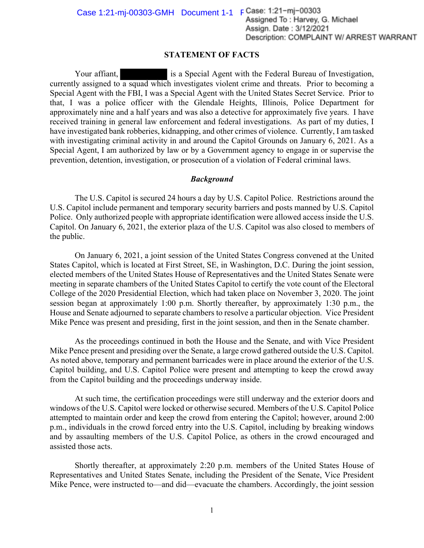Case 1:21-mj-00303-GMH Document 1-1 F Case: 1:21-mj-00303<br>Assigned To: Harvey, G. Michael Assign. Date: 3/12/2021 Description: COMPLAINT W/ ARREST WARRANT

## **STATEMENT OF FACTS**

Your affiant, is a Special Agent with the Federal Bureau of Investigation, currently assigned to a squad which investigates violent crime and threats. Prior to becoming a Special Agent with the FBI, I was a Special Agent with the United States Secret Service. Prior to that, I was a police officer with the Glendale Heights, Illinois, Police Department for approximately nine and a half years and was also a detective for approximately five years. I have received training in general law enforcement and federal investigations. As part of my duties, I have investigated bank robberies, kidnapping, and other crimes of violence. Currently, I am tasked with investigating criminal activity in and around the Capitol Grounds on January 6, 2021. As a Special Agent, I am authorized by law or by a Government agency to engage in or supervise the prevention, detention, investigation, or prosecution of a violation of Federal criminal laws.

### *Background*

The U.S. Capitol is secured 24 hours a day by U.S. Capitol Police. Restrictions around the U.S. Capitol include permanent and temporary security barriers and posts manned by U.S. Capitol Police. Only authorized people with appropriate identification were allowed access inside the U.S. Capitol. On January 6, 2021, the exterior plaza of the U.S. Capitol was also closed to members of the public.

On January 6, 2021, a joint session of the United States Congress convened at the United States Capitol, which is located at First Street, SE, in Washington, D.C. During the joint session, elected members of the United States House of Representatives and the United States Senate were meeting in separate chambers of the United States Capitol to certify the vote count of the Electoral College of the 2020 Presidential Election, which had taken place on November 3, 2020. The joint session began at approximately 1:00 p.m. Shortly thereafter, by approximately 1:30 p.m., the House and Senate adjourned to separate chambers to resolve a particular objection. Vice President Mike Pence was present and presiding, first in the joint session, and then in the Senate chamber.

As the proceedings continued in both the House and the Senate, and with Vice President Mike Pence present and presiding over the Senate, a large crowd gathered outside the U.S. Capitol. As noted above, temporary and permanent barricades were in place around the exterior of the U.S. Capitol building, and U.S. Capitol Police were present and attempting to keep the crowd away from the Capitol building and the proceedings underway inside.

At such time, the certification proceedings were still underway and the exterior doors and windows of the U.S. Capitol were locked or otherwise secured. Members of the U.S. Capitol Police attempted to maintain order and keep the crowd from entering the Capitol; however, around 2:00 p.m., individuals in the crowd forced entry into the U.S. Capitol, including by breaking windows and by assaulting members of the U.S. Capitol Police, as others in the crowd encouraged and assisted those acts.

Shortly thereafter, at approximately 2:20 p.m. members of the United States House of Representatives and United States Senate, including the President of the Senate, Vice President Mike Pence, were instructed to—and did—evacuate the chambers. Accordingly, the joint session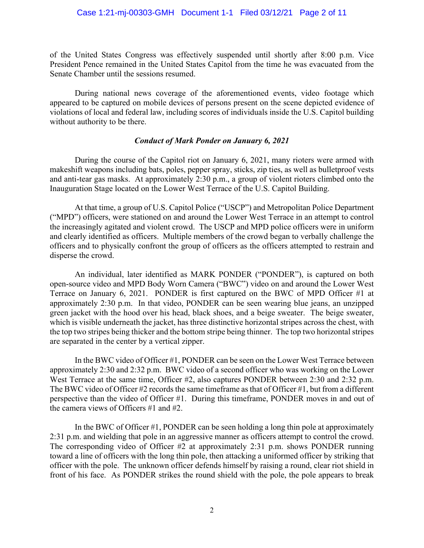#### Case 1:21-mj-00303-GMH Document 1-1 Filed 03/12/21 Page 2 of 11

of the United States Congress was effectively suspended until shortly after 8:00 p.m. Vice President Pence remained in the United States Capitol from the time he was evacuated from the Senate Chamber until the sessions resumed.

During national news coverage of the aforementioned events, video footage which appeared to be captured on mobile devices of persons present on the scene depicted evidence of violations of local and federal law, including scores of individuals inside the U.S. Capitol building without authority to be there.

#### *Conduct of Mark Ponder on January 6, 2021*

During the course of the Capitol riot on January 6, 2021, many rioters were armed with makeshift weapons including bats, poles, pepper spray, sticks, zip ties, as well as bulletproof vests and anti-tear gas masks. At approximately 2:30 p.m., a group of violent rioters climbed onto the Inauguration Stage located on the Lower West Terrace of the U.S. Capitol Building.

At that time, a group of U.S. Capitol Police ("USCP") and Metropolitan Police Department ("MPD") officers, were stationed on and around the Lower West Terrace in an attempt to control the increasingly agitated and violent crowd. The USCP and MPD police officers were in uniform and clearly identified as officers. Multiple members of the crowd began to verbally challenge the officers and to physically confront the group of officers as the officers attempted to restrain and disperse the crowd.

An individual, later identified as MARK PONDER ("PONDER"), is captured on both open-source video and MPD Body Worn Camera ("BWC") video on and around the Lower West Terrace on January 6, 2021. PONDER is first captured on the BWC of MPD Officer #1 at approximately 2:30 p.m. In that video, PONDER can be seen wearing blue jeans, an unzipped green jacket with the hood over his head, black shoes, and a beige sweater. The beige sweater, which is visible underneath the jacket, has three distinctive horizontal stripes across the chest, with the top two stripes being thicker and the bottom stripe being thinner. The top two horizontal stripes are separated in the center by a vertical zipper.

In the BWC video of Officer #1, PONDER can be seen on the Lower West Terrace between approximately 2:30 and 2:32 p.m. BWC video of a second officer who was working on the Lower West Terrace at the same time, Officer #2, also captures PONDER between 2:30 and 2:32 p.m. The BWC video of Officer #2 records the same timeframe as that of Officer #1, but from a different perspective than the video of Officer #1. During this timeframe, PONDER moves in and out of the camera views of Officers #1 and #2.

In the BWC of Officer #1, PONDER can be seen holding a long thin pole at approximately 2:31 p.m. and wielding that pole in an aggressive manner as officers attempt to control the crowd. The corresponding video of Officer #2 at approximately 2:31 p.m. shows PONDER running toward a line of officers with the long thin pole, then attacking a uniformed officer by striking that officer with the pole. The unknown officer defends himself by raising a round, clear riot shield in front of his face. As PONDER strikes the round shield with the pole, the pole appears to break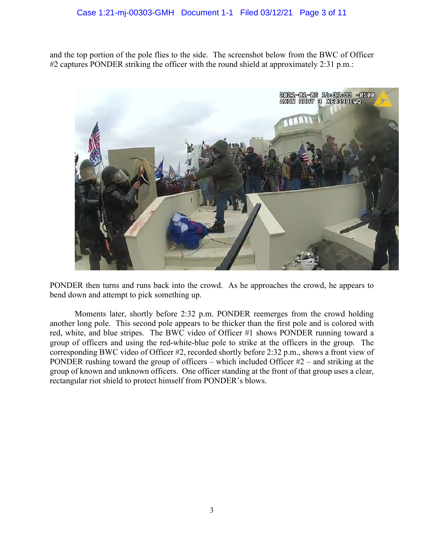## Case 1:21-mj-00303-GMH Document 1-1 Filed 03/12/21 Page 3 of 11

and the top portion of the pole flies to the side. The screenshot below from the BWC of Officer #2 captures PONDER striking the officer with the round shield at approximately 2:31 p.m.:



PONDER then turns and runs back into the crowd. As he approaches the crowd, he appears to bend down and attempt to pick something up.

Moments later, shortly before 2:32 p.m. PONDER reemerges from the crowd holding another long pole. This second pole appears to be thicker than the first pole and is colored with red, white, and blue stripes. The BWC video of Officer #1 shows PONDER running toward a group of officers and using the red-white-blue pole to strike at the officers in the group. The corresponding BWC video of Officer #2, recorded shortly before 2:32 p.m., shows a front view of PONDER rushing toward the group of officers – which included Officer #2 – and striking at the group of known and unknown officers. One officer standing at the front of that group uses a clear, rectangular riot shield to protect himself from PONDER's blows.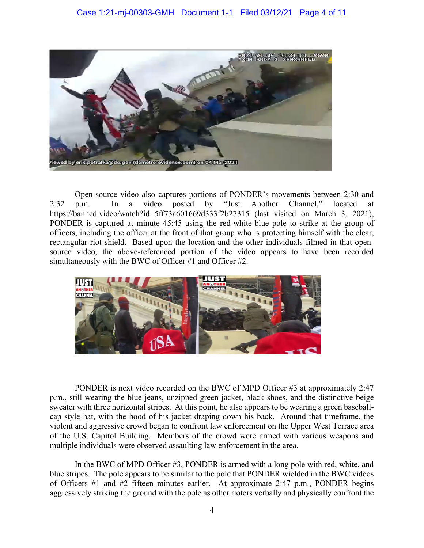

Open-source video also captures portions of PONDER's movements between 2:30 and 2:32 p.m. In a video posted by "Just Another Channel," located at <https://banned.video/watch?id=5ff73a601669d333f2b27315> (last visited on March 3, 2021), PONDER is captured at minute 45:45 using the red-white-blue pole to strike at the group of officers, including the officer at the front of that group who is protecting himself with the clear, rectangular riot shield. Based upon the location and the other individuals filmed in that opensource video, the above-referenced portion of the video appears to have been recorded simultaneously with the BWC of Officer #1 and Officer #2.



PONDER is next video recorded on the BWC of MPD Officer #3 at approximately 2:47 p.m., still wearing the blue jeans, unzipped green jacket, black shoes, and the distinctive beige sweater with three horizontal stripes. At this point, he also appears to be wearing a green baseballcap style hat, with the hood of his jacket draping down his back. Around that timeframe, the violent and aggressive crowd began to confront law enforcement on the Upper West Terrace area of the U.S. Capitol Building. Members of the crowd were armed with various weapons and multiple individuals were observed assaulting law enforcement in the area.

In the BWC of MPD Officer #3, PONDER is armed with a long pole with red, white, and blue stripes. The pole appears to be similar to the pole that PONDER wielded in the BWC videos of Officers #1 and #2 fifteen minutes earlier. At approximate 2:47 p.m., PONDER begins aggressively striking the ground with the pole as other rioters verbally and physically confront the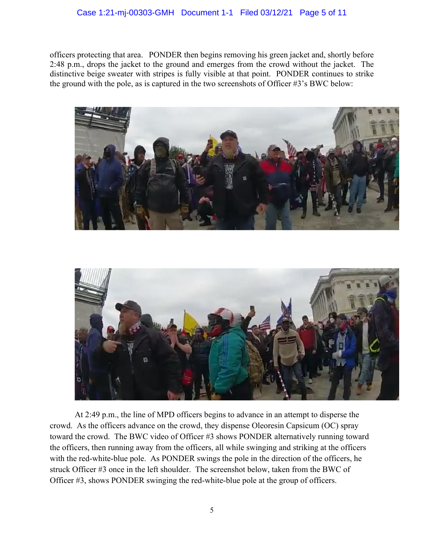## Case 1:21-mj-00303-GMH Document 1-1 Filed 03/12/21 Page 5 of 11

officers protecting that area. PONDER then begins removing his green jacket and, shortly before 2:48 p.m., drops the jacket to the ground and emerges from the crowd without the jacket. The distinctive beige sweater with stripes is fully visible at that point. PONDER continues to strike the ground with the pole, as is captured in the two screenshots of Officer #3's BWC below:





At 2:49 p.m., the line of MPD officers begins to advance in an attempt to disperse the crowd. As the officers advance on the crowd, they dispense Oleoresin Capsicum (OC) spray toward the crowd. The BWC video of Officer #3 shows PONDER alternatively running toward the officers, then running away from the officers, all while swinging and striking at the officers with the red-white-blue pole. As PONDER swings the pole in the direction of the officers, he struck Officer #3 once in the left shoulder. The screenshot below, taken from the BWC of Officer #3, shows PONDER swinging the red-white-blue pole at the group of officers.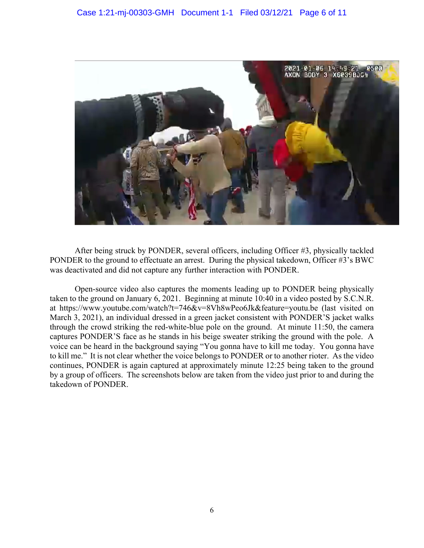

After being struck by PONDER, several officers, including Officer #3, physically tackled PONDER to the ground to effectuate an arrest. During the physical takedown, Officer #3's BWC was deactivated and did not capture any further interaction with PONDER.

Open-source video also captures the moments leading up to PONDER being physically taken to the ground on January 6, 2021. Beginning at minute 10:40 in a video posted by S.C.N.R. at <https://www.youtube.com/watch?t=746&v=8Vh8wPeo6Jk&feature=youtu.be> (last visited on March 3, 2021), an individual dressed in a green jacket consistent with PONDER'S jacket walks through the crowd striking the red-white-blue pole on the ground. At minute 11:50, the camera captures PONDER'S face as he stands in his beige sweater striking the ground with the pole. A voice can be heard in the background saying "You gonna have to kill me today. You gonna have to kill me." It is not clear whether the voice belongs to PONDER or to another rioter. As the video continues, PONDER is again captured at approximately minute 12:25 being taken to the ground by a group of officers. The screenshots below are taken from the video just prior to and during the takedown of PONDER.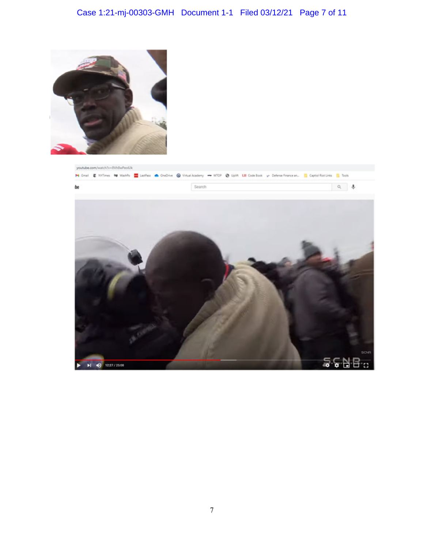# Case 1:21-mj-00303-GMH Document 1-1 Filed 03/12/21 Page 7 of 11



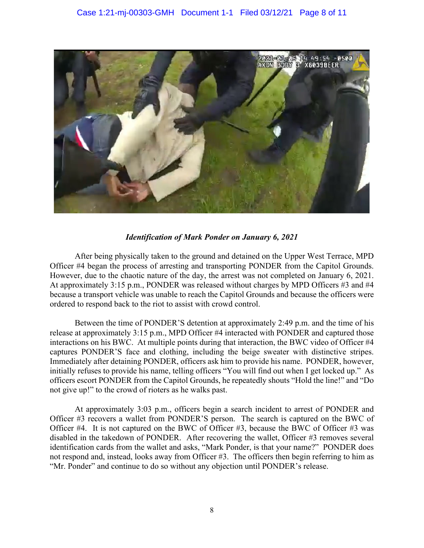

## *Identification of Mark Ponder on January 6, 2021*

After being physically taken to the ground and detained on the Upper West Terrace, MPD Officer #4 began the process of arresting and transporting PONDER from the Capitol Grounds. However, due to the chaotic nature of the day, the arrest was not completed on January 6, 2021. At approximately 3:15 p.m., PONDER was released without charges by MPD Officers #3 and #4 because a transport vehicle was unable to reach the Capitol Grounds and because the officers were ordered to respond back to the riot to assist with crowd control.

Between the time of PONDER'S detention at approximately 2:49 p.m. and the time of his release at approximately 3:15 p.m., MPD Officer #4 interacted with PONDER and captured those interactions on his BWC. At multiple points during that interaction, the BWC video of Officer #4 captures PONDER'S face and clothing, including the beige sweater with distinctive stripes. Immediately after detaining PONDER, officers ask him to provide his name. PONDER, however, initially refuses to provide his name, telling officers "You will find out when I get locked up." As officers escort PONDER from the Capitol Grounds, he repeatedly shouts "Hold the line!" and "Do not give up!" to the crowd of rioters as he walks past.

At approximately 3:03 p.m., officers begin a search incident to arrest of PONDER and Officer #3 recovers a wallet from PONDER'S person. The search is captured on the BWC of Officer #4. It is not captured on the BWC of Officer #3, because the BWC of Officer #3 was disabled in the takedown of PONDER. After recovering the wallet, Officer #3 removes several identification cards from the wallet and asks, "Mark Ponder, is that your name?" PONDER does not respond and, instead, looks away from Officer #3. The officers then begin referring to him as "Mr. Ponder" and continue to do so without any objection until PONDER's release.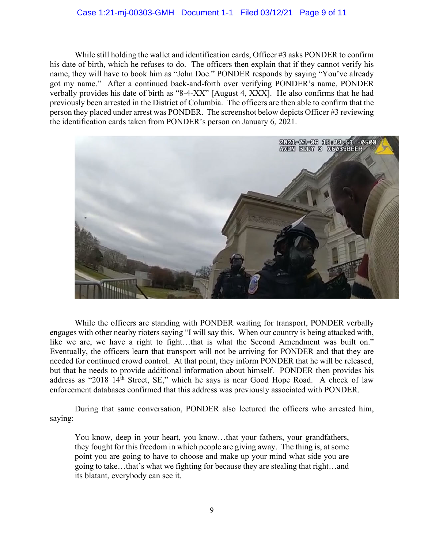### Case 1:21-mj-00303-GMH Document 1-1 Filed 03/12/21 Page 9 of 11

While still holding the wallet and identification cards, Officer #3 asks PONDER to confirm his date of birth, which he refuses to do. The officers then explain that if they cannot verify his name, they will have to book him as "John Doe." PONDER responds by saying "You've already got my name." After a continued back-and-forth over verifying PONDER's name, PONDER verbally provides his date of birth as "8-4-XX" [August 4, XXX]. He also confirms that he had previously been arrested in the District of Columbia. The officers are then able to confirm that the person they placed under arrest was PONDER. The screenshot below depicts Officer #3 reviewing the identification cards taken from PONDER's person on January 6, 2021.



While the officers are standing with PONDER waiting for transport, PONDER verbally engages with other nearby rioters saying "I will say this. When our country is being attacked with, like we are, we have a right to fight…that is what the Second Amendment was built on." Eventually, the officers learn that transport will not be arriving for PONDER and that they are needed for continued crowd control. At that point, they inform PONDER that he will be released, but that he needs to provide additional information about himself. PONDER then provides his address as "2018 14<sup>th</sup> Street, SE," which he says is near Good Hope Road. A check of law enforcement databases confirmed that this address was previously associated with PONDER.

During that same conversation, PONDER also lectured the officers who arrested him, saying:

You know, deep in your heart, you know…that your fathers, your grandfathers, they fought for this freedom in which people are giving away. The thing is, at some point you are going to have to choose and make up your mind what side you are going to take…that's what we fighting for because they are stealing that right…and its blatant, everybody can see it.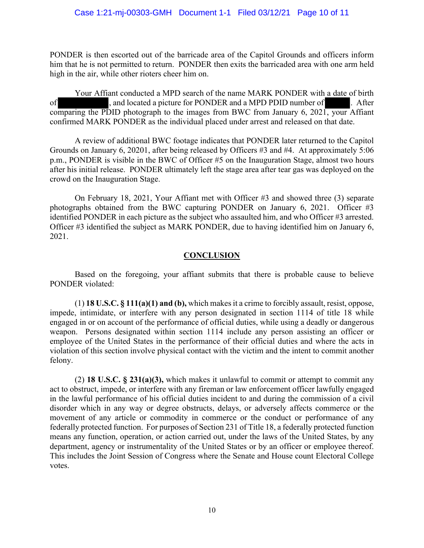PONDER is then escorted out of the barricade area of the Capitol Grounds and officers inform him that he is not permitted to return. PONDER then exits the barricaded area with one arm held high in the air, while other rioters cheer him on.

Your Affiant conducted a MPD search of the name MARK PONDER with a date of birth of stated a picture for PONDER and a MPD PDID number of . After comparing the PDID photograph to the images from BWC from January 6, 2021, your Affiant confirmed MARK PONDER as the individual placed under arrest and released on that date.

A review of additional BWC footage indicates that PONDER later returned to the Capitol Grounds on January 6, 20201, after being released by Officers #3 and #4. At approximately 5:06 p.m., PONDER is visible in the BWC of Officer #5 on the Inauguration Stage, almost two hours after his initial release. PONDER ultimately left the stage area after tear gas was deployed on the crowd on the Inauguration Stage.

On February 18, 2021, Your Affiant met with Officer #3 and showed three (3) separate photographs obtained from the BWC capturing PONDER on January 6, 2021. Officer #3 identified PONDER in each picture as the subject who assaulted him, and who Officer #3 arrested. Officer #3 identified the subject as MARK PONDER, due to having identified him on January 6, 2021.

# **CONCLUSION**

Based on the foregoing, your affiant submits that there is probable cause to believe PONDER violated:

(1) **18 U.S.C. § 111(a)(1) and (b),** which makes it a crime to forcibly assault, resist, oppose, impede, intimidate, or interfere with any person designated in section 1114 of title 18 while engaged in or on account of the performance of official duties, while using a deadly or dangerous weapon. Persons designated within section 1114 include any person assisting an officer or employee of the United States in the performance of their official duties and where the acts in violation of this section involve physical contact with the victim and the intent to commit another felony.

(2) **18 U.S.C. § 231(a)(3),** which makes it unlawful to commit or attempt to commit any act to obstruct, impede, or interfere with any fireman or law enforcement officer lawfully engaged in the lawful performance of his official duties incident to and during the commission of a civil disorder which in any way or degree obstructs, delays, or adversely affects commerce or the movement of any article or commodity in commerce or the conduct or performance of any federally protected function. For purposes of Section 231 of Title 18, a federally protected function means any function, operation, or action carried out, under the laws of the United States, by any department, agency or instrumentality of the United States or by an officer or employee thereof. This includes the Joint Session of Congress where the Senate and House count Electoral College votes.